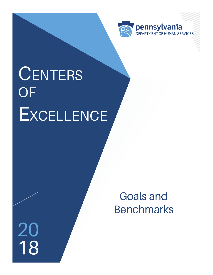

# **CENTERS OF EXCELLENCE**

 $\frac{20}{18}$ 

Goals and **Benchmarks**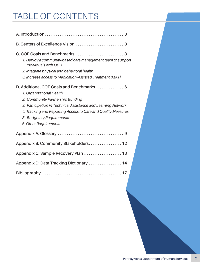# TABLE OF CONTENTS

| 1. Deploy a community-based care management team to support<br>individuals with OUD<br>2. Integrate physical and behavioral health<br>3. Increase access to Medication-Assisted Treatment (MAT)                                                                                                    |
|----------------------------------------------------------------------------------------------------------------------------------------------------------------------------------------------------------------------------------------------------------------------------------------------------|
| D. Additional COE Goals and Benchmarks  6<br>1. Organizational Health<br>2. Community Partnership Building<br>3. Participation in Technical Assistance and Learning Network<br>4. Tracking and Reporting Access to Care and Quality Measures<br>5. Budgetary Requirements<br>6. Other Requirements |
|                                                                                                                                                                                                                                                                                                    |
| Appendix B: Community Stakeholders 12                                                                                                                                                                                                                                                              |
|                                                                                                                                                                                                                                                                                                    |
| Appendix D: Data Tracking Dictionary  14                                                                                                                                                                                                                                                           |
|                                                                                                                                                                                                                                                                                                    |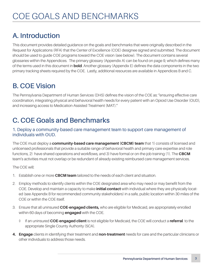### **A. Introduction**

This document provides detailed guidance on the goals and benchmarks that were originally described in the Request for Applications (RFA) that the Center of Excellence (COE) designee signed and submitted. The document should be used to guide COE programs toward the COE vision (see below). The document contains several glossaries within the Appendices. The primary glossary (Appendix A) can be found on page 9, which defines many of the terms used in this document in **bold**. Another glossary (Appendix E) defines the data components in the two primary tracking sheets required by the COE. Lastly, additional resources are available in Appendices B and C.

### **B. COE Vision**

The Pennsylvania Department of Human Services (DHS) defines the vision of the COE as: "ensuring effective care coordination, integrating physical and behavioral health needs for every patient with an Opioid Use Disorder (OUD), and increasing access to Medication-Assisted Treatment (MAT)."

### **C. COE Goals and Benchmarks**

#### 1. Deploy a community-based care management team to support care management of individuals with OUD.

The COE must deploy a **community-based care management (CBCM) team** that 1) consists of licensed and unlicensed professionals that provide a suitable range of behavioral health and primary care expertise and role functions, 2) have shared operations and workflows, and 3) have formal or on-the-job training (1). The **CBCM**  team's activities must not overlap or be redundant of already existing reimbursed care management services.

The COE will:

- 1. Establish one or more **CBCM team** tailored to the needs of each client and situation.
- 2. Employ methods to identify clients within the COE designated area who may need or may benefit from the COE. Develop and maintain a capacity to make **initial contact** with individual where they are physically located (see Appendix B for recommended community stakeholders) in a safe, public location within 30 miles of the COE or within the COE itself.
- 3. Ensure that all uninsured **COE-engaged clients,** who are eligible for Medicaid, are appropriately enrolled within 60 days of becoming **engaged** with the COE.
	- ◊ If an uninsured **COE-engaged client** is not eligible for Medicaid, the COE will conduct a **referral** to the appropriate Single County Authority (SCA).
- **4. Engage** clients in identifying their treatment and **non-treatment** needs for care and the particular clinicians or other individuals to address those needs.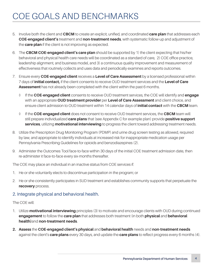# COE GOALS AND BENCHMARKS

- 5. Involve both the client and **CBCM** to create an explicit, unified, and coordinated **care plan** that addresses each **COE-engaged client's** treatment and **non-treatment needs**, with systematic follow-up and adjustment of the **care plan** if the client is not improving as expected.
- 6. The **CBCM COE-engaged client's care plan** should be supported by 1) the client expecting that his/her behavioral and physical health care needs will be coordinated as a standard of care, 2) COE office practice, leadership alignment, and business model, and 3) a continuous quality improvement and measurement of effectiveness that routinely collects and uses data and periodically examines and reports outcomes.
- 7. Ensure every **COE-engaged client** receives a **Level of Care Assessment** by a licensed professional within 7 days of **initial contact,** if the client consents to receive OUD treatment services and the **Level of Care Assessment** has not already been completed with the client within the past 6 months.
	- ◊ If the **COE-engaged client** consents to receive OUD treatment services, the COE will identify and **engage** with an appropriate **OUD treatment provider** per **Level of Care Assessment** and client choice, and ensure client admission to OUD treatment within 14 calendar days of **initial contact** with the **CBCM** team.
	- ◊ If the **COE-engaged client** does not consent to receive OUD treatment services, the **CBCM** team will still prepare individualized **care plans** that (see Appendix C for example plan) provide **positive support services**, utilizing **motivational interviewing** to progress the client toward addressing treatment needs.
- 8. Utilize the Prescription Drug Monitoring Program (PDMP) and urine drug screen testing as allowed, required by law, and appropriate to identify individuals at increased risk for inappropriate medication usage per Pennsylvania Prescribing Guidelines for opioids and benzodiazepines (2).
- 9. Administer the Outcomes Tool face-to-face within 30 days of the initial COE treatment admission date, then re-administer it face-to-face every six-months thereafter.

The COE may place an individual in an inactive status from COE services if:

- 1. He or she voluntarily elects to discontinue participation in the program; or
- 2. He or she consistently participates in SUD treatment and establishes community supports that perpetuate the **recovery** process.

#### 2. Integrate physical and behavioral health.

#### The COE will:

- 1. Utilize **motivational interviewing** principles (3) to motivate and encourage clients with OUD during continued **engagement** to follow the **care plan** that addresses both treatment (in both **physical** and **behavioral health)**and **non-treatment needs**.
- **2. Assess** the **COE-engaged client's physical** and **behavioral health** needs and **non-treatment needs** against the client's **care plans** every 30 days, and update the **care plans** to reflect progress every 6 months (4).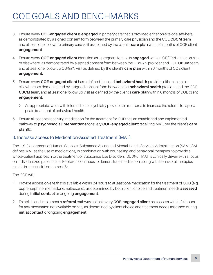# COE GOALS AND BENCHMARKS

- 3. Ensure every **COE-engaged client** is **engaged** in primary care that is provided either on-site or elsewhere, as demonstrated by a signed consent form between the primary care physician and the COE **CBCM** team, and at least one follow-up primary care visit as defined by the client's **care plan** within 6 months of COE client **engagement**.
- 4. Ensure every **COE-engaged client** identified as a pregnant female is **engaged** with an OB/GYN, either on-site or elsewhere, as demonstrated by a signed consent form between the OB/GYN provider and COE **CBCM** team, and at least one follow-up OB/GYN visit as defined by the client's **care plan** within 6 months of COE client **engagement.**
- 5. Ensure every **COE-engaged client** has a defined licensed **behavioral health** provider, either on-site or elsewhere, as demonstrated by a signed consent form between the **behavioral health** provider and the COE **CBCM** team, and at least one follow-up visit as defined by the client's **care plan** within 6 months of COE client **engagement**.
	- ◊ As appropriate, work with telemedicine psychiatry providers in rural area to increase the referral for appropriate treatment of behavioral health.
- 6. Ensure all patients receiving medication for the treatment for OUD has an established and implemented pathway to **psychosocial interventions** for every **COE-engaged client** receiving MAT, per the client's **care plan**(6).

#### 3. Increase access to Medication-Assisted Treatment (MAT).

The U.S. Department of Human Services, Substance Abuse and Mental Health Services Administration (SAMHSA) defines MAT as the use of medications, in combination with counseling and behavioral therapies, to provide a whole-patient approach to the treatment of Substance Use Disorders (SUD)(5). MAT is clinically driven with a focus on individualized patient care. Research continues to demonstrate medication, along with behavioral therapies, results in successful outcomes (6).

The COE will:

- 1. Provide access on-site that is available within 24 hours to at least one medication for the treatment of OUD (e.g. buprenorphine, methadone, naltrexone), as determined by both client choice and treatment needs **assessed** during **initial contact** or ongoing **engagement**.
- 2. Establish and implement a **referral** pathway so that every **COE-engaged client** has access within 24 hours for any medication not available on site, as determined by client choice and treatment needs assessed during **initial contact** or ongoing **engagement.**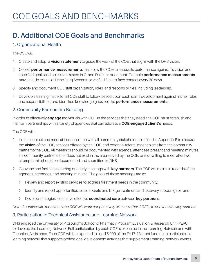### **D. Additional COE Goals and Benchmarks**

#### 1. Organizational Health

The COE will:

- 1. Create and adopt a **vision statement** to guide the work of the COE that aligns with the DHS vision.
- 2. Collect **performance measurements** that allow the COE to assess its performance against it's vision and specified goals and objectives stated in C. and D. of this document. Example **performance measurements** may include results of Urine Drug Screens, or verified face-to-face contact every 30 days.
- 3. Specify and document COE staff organization, roles, and responsibilities, including leadership.
- 4. Develop a training matrix for all COE staff to follow, based upon each staff's development against his/her roles and responsibilities, and identified knowledge gaps per the **performance measurements**.

#### 2. Community Partnership Building

In order to effectively **engage** individuals with OUD in the services that they need, the COE must establish and maintain partnerships with a variety of agencies that can address a **COE-engaged client's** needs.

The COE will:

- 1. Initiate contact and meet at least one time with all community stakeholders defined in Appendix B to discuss the **vision** of the COE, services offered by the COE, and potential referral mechanisms from the community partner to the COE. All meetings should be documented with agenda, attendees present and meeting minutes. If a community partner either does not exist in the area served by the COE, or is unwilling to meet after two attempts, this should be documented and submitted to DHS.
- 2. Convene and facilitate recurring quarterly meetings with **key partners**. The COE will maintain records of the agendas, attendees, and meeting minutes. The goals of these meetings are to:
	- ◊ Review and report existing services to address treatment needs in the community;
	- ◊ Identify and report opportunities to collaborate and bridge treatment and recovery support gaps; and
	- ◊ Develop strategies to achieve effective **coordinated care** between **key partners.**

*Note: Counties with more than one COE will work cooperatively with the other COE(s) to convene the key partners.* 

#### 3. Participation in Technical Assistance and Learning Network

DHS engaged the University of Pittsburgh's School of Pharmacy Program Evaluation & Research Unit (PERU) to develop the Learning Network. Full participation by each COE is expected in the Learning Network and with Technical Assistance. Each COE will be expected to use \$5,000 of the FY17-18 grant funding to participate in a learning network that supports professional development activities that supplement Learning Network events.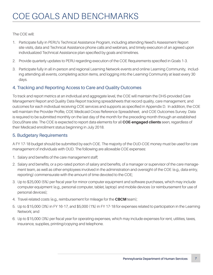#### The COE will:

- 1. Participate fully in PERU's Technical Assistance Program, including attending Need's Assessment Report site visits, data and Technical Assistance phone calls and webinars, and timely execution of an agreed upon individualized Technical Assistance plan specified by goals and timelines.
- 2. Provide quarterly updates to PERU regarding execution of the COE Requirements specified in Goals 1-3.
- 3. Participate fully in all in-person and regional Learning Network events and online Learning Community, including attending all events, completing action items, and logging into the Learning Community at least every 30 days.

#### 4. Tracking and Reporting Access to Care and Quality Outcomes

To track and report metrics at an individual and aggregate level, the COE will maintain the DHS-provided Care Management Report and Quality Data Report tracking spreadsheets that record quality, care management, and outcomes for each individual receiving COE services and supports as specified in Appendix D. In addition, the COE will maintain the Provider Profile, COE Medicaid Cross Reference Spreadsheet, and COE Outcomes Survey. Data is required to be submitted monthly on the last day of the month for the preceding month through an established DocuShare site. The COE is expected to report data elements for all **COE-engaged clients** seen, regardless of their Medicaid enrollment status beginning in July 2018.

#### 5. Budgetary Requirements

A FY 17-18 budget should be submitted by each COE. The majority of the OUD-COE money must be used for care management of individuals with OUD. The following are allowable COE expenses:

- 1. Salary and benefits of the care management staff;
- 2. Salary and benefits, or a pro-rated portion of salary and benefits, of a manager or supervisor of the care management team, as well as other employees involved in the administration and oversight of the COE (e.g., data entry, reporting) commensurate with the amount of time devoted to the COE;
- 3. Up to \$25,000 (5%) per fiscal year for minor computer equipment and software purchases, which may include computer equipment (e.g., personal computer, tablet, laptop) and mobile devices (or reimbursement for use of personal devices);
- 4. Travel-related costs (e.g., reimbursement for mileage for the **CBCM** team);
- 5. Up to \$15,000 (3%) in FY 16-17, and \$5,000 (1%) in FY 17-18 for expenses related to participation in the Learning Network; and
- 6. Up to \$15,000 (3%) per fiscal year for operating expenses, which may include expenses for rent, utilities, taxes, insurance, supplies, printing/copying and telephone.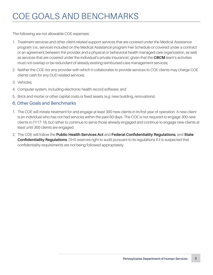# COE GOALS AND BENCHMARKS

The following are not allowable COE expenses:

- 1. Treatment services and other client-related support services that are covered under the Medical Assistance program (i.e., services included on the Medical Assistance program Fee Schedule or covered under a contract or an agreement between the provider and a physical or behavioral health managed care organization, as well as services that are covered under the individual's private insurance), given that the **CBCM** team's activities must not overlap or be redundant of already existing reimbursed care management services;
- 2. Neither the COE nor any provider with which it collaborates to provide services to COE clients may charge COE clients cash for any OUD related services;
- 3. Vehicles;
- 4. Computer system, including electronic health record software; and
- 5. Brick and mortar or other capital costs or fixed assets (e.g. new building, renovations).

#### 6. Other Goals and Benchmarks

- 1. The COE will initiate treatment for and engage at least 300 new clients in its first year of operation. A new client is an individual who has not had services within the past 60 days. The COE is not required to engage 300 new clients in FY17-18, but rather to continue to serve those already engaged and continue to engage new clients at least until 300 clients are engaged.
- 2. The COE will follow the **Public Health Services Act** and **Federal Confidentiality Regulations**, and **State Confidentiality Regulations**. DHS reserves right to audit pursuant to its regulations if it is suspected that confidentiality requirements are not being followed appropriately.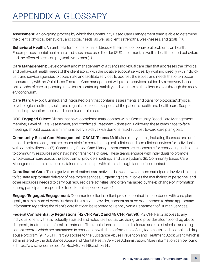### APPENDIX A: GLOSSARY

**Assessment:** An on-going process by which the Community Based Care Management team is able to determine the client's physical, behavioral, and social needs, as well as client's strengths, weaknesses, and goals (4).

**Behavioral Health:** An umbrella term for care that addresses the impact of behavioral problems on health. Encompasses mental health care and substance use disorder (SUD) treatment, as well as health-related behaviors and the effect of stress on physical symptoms (1).

**Care Management:** Development and management of a client's individual care plan that addresses the physical and behavioral health needs of the client along with the positive support services, by working directly with individuals and service agencies to coordinate and facilitate services to address the issues and needs that often occur concurrently with an Opioid Use Disorder. Care management will provide services guided by a recovery-based philosophy of care, supporting the client's continuing stability and wellness as the client moves through the recovery continuum.

**Care Plan:** A explicit, unified, and integrated plan that contains assessments and plans for biological/physical, psychological, cultural, social, and organization of care aspects of the patient's health and health care. Scope includes prevention, acute, and chronic/complex care.

**COE-Engaged Client:** Clients that have completed initial contact with a Community Based Care Management member, Level of Care Assessment, and confirmed Treatment Admission. Following these items, face-to-face meetings should occur, at a minimum, every 30 days with demonstrated success toward care plan goals.

**Community-Based Care Management (CBCM) Teams:** Multi-disciplinary teams, including licensed and un-licensed professionals, that are responsible for coordinating both clinical and non-clinical services for individuals with complex illnesses (7). Community Based Care Management teams are responsible for connecting individuals to community resources and navigating transitions of care. These teams engage with individuals to promote whole-person care across the spectrum of providers, settings, and care systems (8). Community Based Care Management teams develop sustained relationships with clients through face-to-face contact.

**Coordinated Care:** The organization of patient care activities between two or more participants involved in care, to facilitate appropriate delivery of healthcare services. Organizing care involves the marshaling of personnel and other resources needed to carry out required care activities, and often managed by the exchange of information among participants responsible for different aspects of care (1).

**Engage/Engaged/Engagement:** Documented client or client provider contact in accordance with care plan goals, at a minimum of every 30 days. If it is a client provider, consent must be documented to share appropriate information regarding the client's care that can be reported to Pennsylvania Department of Human Services.

**Federal Confidentiality Regulations (42 CFR Part 2 and 45 CFR Part 96):** 42 CFR Part 2 applies to any individual or entity that is federally assisted and holds itself out as providing, and provides alcohol or drug abuse diagnosis, treatment, or referral to treatment. The regulations restrict the disclosure and use of alcohol and drug patient records which are maintained in connection with the performance of any federal assisted alcohol and drug abuse program (9). 45 CFR Part 96 applies to the Substance Abuse Prevention and Treatment Block Grant, which is administered by the Substance Abuse and Mental Health Services Administration. More information can be found at https://www.law.cornell.edu/cfr/text/45/part-96/subpart-L.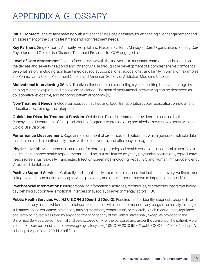### APPENDIX A: GLOSSARY

**Initial Contact:** Face-to-face meeting with a client, that includes a strategy for enhancing client engagement and an assessment of the client's treatment and non-treatment needs.

**Key Partners:** Single County Authority, Hospital and Hospital Systems, Managed Care Organizations, Primary Care Physicians, and Opioid Use Disorder Treatment Providers for COE-engaged clients.

**Level of Care Assessment:** Face-to-face interview with the individual to ascertain treatment needs based on the degree and severity of alcohol and other drug use through the development of a comprehensive confidential personal history, including significant medical, social, occupational, educational, and family information (examples are Pennsylvania Client Placement Criteria and American Society of Addiction Medicine Criteria).

**Motivational Interviewing (MI):** A directive, client-centered counseling style for eliciting behavior change by helping clients to explore and resolve ambivalence. The spirit of motivational interviewing can be described as collaborative, evocative, and honoring patient autonomy (3).

**Non-Treatment Needs:** Include services such as housing, food, transportation, voter registration, employment, education, job training, and interpreter.

**Opioid Use Disorder Treatment Provider:** Opioid Use Disorder treatment providers are licensed by the Pennsylvania Department of Drug and Alcohol Programs to provide drug and alcohol services to clients with an Opioid Use Disorder.

**Performance Measurement:** Regular measurement of processes and outcomes, which generates reliable data that can be used to continuously improve the effectiveness and efficiency of programs.

**Physical Health:** Management of acute and/or chronic physiological health conditions or co-morbidities. Also includes maintenance health appointments including, but not limited to: yearly physicals vaccinations, reproductive health screenings, Sexually Transmitted Infection screenings (including Hepatitis C and Human Immunodeficiency Virus), and dental care.

**Positive Support Services:** Culturally and linguistically appropriate services that facilitate recovery, wellness, and linkage to and coordination among services providers, and other supports shown to improve quality of life.

**Psychosocial Interventions:** Interpersonal or informational activities, techniques, or strategies that target biological, behavioral, cognitive, emotional, interpersonal, social, or environmental factors (10).

**Public Health Services Act (42 U.S.C §§ 290ee-3, 290dd-2):** Requires that the identity, diagnosis, prognosis, or treatment of any patient which are maintained in connection with the performance of any program or activity relating to substance abuse education, prevention, training, treatment, rehabilitation, or research, which is conducted, regulated, or directly or indirectly assisted by any department or agency of the United States shall, except as provided to the Uniformed Services, be confidential and be disclosed only for the purposes and under the consent of the patient. More information can be found at https://www.gpo.gov/fdsys/pkg/USCODE-2010-title42/pdf/USCODE-2010-title42-chap6AsubchapIII-A-partD-sec290dd-2.pdf (11).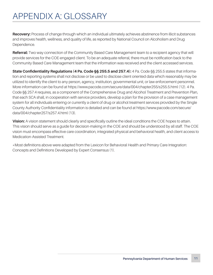### APPENDIX A: GLOSSARY

Recovery: Process of change through which an individual ultimately achieves abstinence from illicit substances and improves health, wellness, and quality of life, as reported by National Council on Alcoholism and Drug Dependence.

**Referral:** Two way connection of the Community Based Care Management team to a recipient agency that will provide services for the COE-engaged client. To be an adequate referral, there must be notification back to the Community Based Care Management team that the information was received and the client accessed services.

**State Confidentiality Regulations (4 Pa. Code §§ 255.5 and 257.4):** 4 Pa. Code §§ 255.5 states that information and reporting systems shall not disclose or be used to disclose client oriented data which reasonably may be utilized to identify the client to any person, agency, institution, governmental unit, or law enforcement personnel. More information can be found at https://www.pacode.com/secure/data/004/chapter255/s255.5.html (12). 4 Pa. Code §§ 257.4 requires, as a component of the Comprehensive Drug and Alcohol Treatment and Prevention Plan, that each SCA shall, in cooperation with service providers, develop a plan for the provision of a case management system for all individuals entering or currently a client of drug or alcohol treatment services provided by the Single County Authority Confidentiality information is detailed and can be found at https://www.pacode.com/secure/ data/004/chapter257/s257.4.html (13).

**Vision:** A vision statement should clearly and specifically outline the ideal conditions the COE hopes to attain. This vision should serve as a guide for decision-making in the COE and should be understood by all staff. The COE vision must encompass effective care coordination, integrated physical and behavioral health, and client access to Medication-Assisted Treatment.

\*Most definitions above were adapted from the Lexicon for Behavioral Health and Primary Care Integration: Concepts and Definitions Developed by Expert Consensus (1).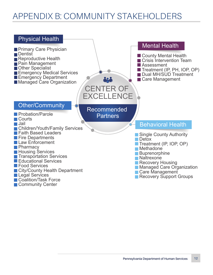### APPENDIX B: COMMUNITY STAKEHOLDERS

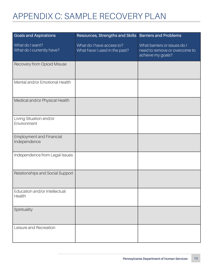# APPENDIX C: SAMPLE RECOVERY PLAN

| <b>Goals and Aspirations</b>                    | Resources, Strengths and Skills   Barriers and Problems    |                                                                                    |
|-------------------------------------------------|------------------------------------------------------------|------------------------------------------------------------------------------------|
| What do I want?<br>What do I currently have?    | What do I have access to?<br>What have I used in the past? | What barriers or issues do I<br>need to remove or overcome to<br>achieve my goals? |
| Recovery from Opioid Misuse                     |                                                            |                                                                                    |
| Mental and/or Emotional Health                  |                                                            |                                                                                    |
| Medical and/or Physical Health                  |                                                            |                                                                                    |
| Living Situation and/or<br>Environment          |                                                            |                                                                                    |
| <b>Employment and Financial</b><br>Independence |                                                            |                                                                                    |
| Independence from Legal Issues                  |                                                            |                                                                                    |
| Relationships and Social Support                |                                                            |                                                                                    |
| Education and/or Intellectual<br>Health         |                                                            |                                                                                    |
| Spirituality                                    |                                                            |                                                                                    |
| Leisure and Recreation                          |                                                            |                                                                                    |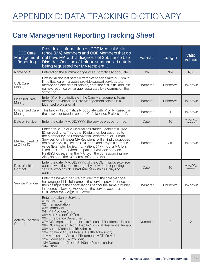### **Care Management Reporting Tracking Sheet**

| <b>COE Care</b><br>Management<br>Reporting | Provide all information on COE Medical Assis-<br>tance (MA) Members and COE Members that do<br>not have MA with a diagnosis of Substance Use<br>Disorder. One line of Unique summarized data is<br>being requested per MA recipient ID.                                                                                                                                                                                                                                                                                                                           | Format         | Length         | Valid<br><b>Values</b> |
|--------------------------------------------|-------------------------------------------------------------------------------------------------------------------------------------------------------------------------------------------------------------------------------------------------------------------------------------------------------------------------------------------------------------------------------------------------------------------------------------------------------------------------------------------------------------------------------------------------------------------|----------------|----------------|------------------------|
| Name of COE                                | Entered on the summary page-will automatically populate.                                                                                                                                                                                                                                                                                                                                                                                                                                                                                                          | N/A            | N/A            | N/A                    |
| <b>COE Care</b><br>Manager                 | First initial and last name (Example: Arleen Smith is A. Smith).<br>If multiple care managers provide support services to a<br>member on one date of service, enter the first initial and last<br>name of each care manager separated by a comma on the<br>same line.                                                                                                                                                                                                                                                                                             | Character      | Unknown        | Unknown                |
| <b>Licensed Care</b><br>Manager            | Enter 'Y' or 'N', to indicate if the Care Management Team<br>member providing the Care Management service is a<br>Licensed professional.                                                                                                                                                                                                                                                                                                                                                                                                                          | Character      | Unknown        | Unknown                |
| Unlicensed Care<br>Manager                 | This field will automatically populate with 'Y' or 'N' based on<br>the answer entered in column C-- "Licensed Professional".                                                                                                                                                                                                                                                                                                                                                                                                                                      | Character      | 1              | Unknown                |
| Date of Service                            | Enter the date (MM/DD/YYYY) the service was performed.                                                                                                                                                                                                                                                                                                                                                                                                                                                                                                            | Date           | 10             | MM/DD/<br>YYYY         |
| <b>MA Recipient ID</b><br>or Other ID      | Enter a valid, unique Medical Assistance Recipient ID (MA<br>ID) on each line. This is the 10-digit number assigned to<br>the Member by the Pennsylvania Department of Human<br>Services. One line per MA Recipient ID. If an individual does<br>not have a MA ID, like the COE code and assign a numeric<br>value (Example: Tadiso, Inc., Patient #1 without a MAID is<br>listed as 01-001). When the patient has been enrolled in<br>Health Choices, enter the MAID on the corresponding line.<br>Also, enter on the COE cross reference tab.                   | Character      | $\leq 10$      | Unknown                |
| Date of Initial<br>Contact                 | Enter the date (MM/DD/YYYY) of the COE initial face-to-face<br>contact with the care manager by individual requesting<br>service, who has NOT had services within 60 days of<br>contact.                                                                                                                                                                                                                                                                                                                                                                          | Date           | 10             | MM/DD/<br><b>YYYY</b>  |
| Service Provider                           | Enter the name of service provider that the care manager<br>has engaged. List full name of the service provider once and<br>then designate the abbreviation used for the same provider<br>in records following. However, if the service occurs at the<br>COE, enter the 2-digit COE code.                                                                                                                                                                                                                                                                         | Character      | Unknown        | Unknown                |
| <b>Activity Location</b><br>Code 1         | <b>Enter Location of Service:</b><br>01=Onsite-COE;<br>02=Transportation;<br>03= Home Visit;<br>04= PH Provider Offic;<br>05= MH Provider's Office;<br>06= Emergency Department;<br>07 = D&A Inpatient Non-Hospital/Hospital Residential Detox;<br>08 = D&A Inpatient Non-Hospital/Hospital Residential Rehab;<br>09 = Acute Mental Health Admission;<br>10= Inpatient Acute Physical Health Admission;<br>11= Medication Assisted Treatment (MAT) Provider;<br>12= Licensed D&A Provider;<br>13= Corrections (Local Jail/State Prison); and/or<br>$14 = Other$ . | <b>Numeric</b> | $\overline{2}$ | $\overline{2}$         |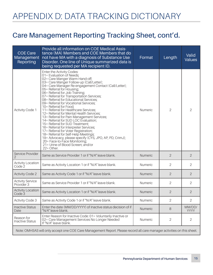### **Care Management Reporting Tracking Sheet, cont'd.**

| <b>COE Care</b><br>Management<br>Reporting                                                                             | Provide all information on COE Medical Assis-<br>tance (MA) Members and COE Members that do<br>not have MA with a diagnosis of Substance Use<br>Disorder. One line of Unique summarized data is<br>being requested per MA recipient ID.                                                                                                                                                                                                                                                                                                                                                                                                                                                                                                                                                                                                                                                                          | Format         | Length         | Valid<br><b>Values</b> |
|------------------------------------------------------------------------------------------------------------------------|------------------------------------------------------------------------------------------------------------------------------------------------------------------------------------------------------------------------------------------------------------------------------------------------------------------------------------------------------------------------------------------------------------------------------------------------------------------------------------------------------------------------------------------------------------------------------------------------------------------------------------------------------------------------------------------------------------------------------------------------------------------------------------------------------------------------------------------------------------------------------------------------------------------|----------------|----------------|------------------------|
| <b>Activity Code 1</b>                                                                                                 | Enter the Activity Codes:<br>01= Evaluation of Needs;<br>02= Care Manger Warm Hand-off;<br>03= Care Manger Follow-up (Call/Letter);<br>04= Care Manager Re-engagement Contact (Call/Letter);<br>05= Referral for Housing;<br>06= Referral for Job Training;<br>07= Referral for Transportation Services;<br>08= Referral for Educational Services;<br>09= Referral for Vocational Services;<br>10= Referral for Food;<br>11= Referral for Healthcare Services;<br>12= Referral for Mental Health Services;<br>13= Referral for Pain Management Services;<br>14= Referral for SUD LOC Evaluation;<br>15= Referral for SUD Treatment;<br>16= Referral for Interpreter Services;<br>17 = Referral for Voter Registration;<br>18 = Referral for Self-Help Meetings;<br>19= Advocacy, please specify (CYS, JPO, AP, PD, CrimJ);<br>20= Face-to-Face Monitoring;<br>21= Urine of Blood Screen; and/or<br>$22 =$ Other. | Numeric        | $\overline{2}$ | $\overline{2}$         |
| Service Provider<br>2                                                                                                  | Same as Service Provider 1 or if "N/A" leave blank.                                                                                                                                                                                                                                                                                                                                                                                                                                                                                                                                                                                                                                                                                                                                                                                                                                                              | Numeric        | $\overline{2}$ | 2                      |
| <b>Activity Location</b><br>Code <sub>2</sub>                                                                          | Same as Activity Location 1 or if "N/A" leave blank.                                                                                                                                                                                                                                                                                                                                                                                                                                                                                                                                                                                                                                                                                                                                                                                                                                                             | <b>Numeric</b> | 2              | $\overline{2}$         |
| <b>Activity Code 2</b>                                                                                                 | Same as Activity Code 1 or if "N/A" leave blank.                                                                                                                                                                                                                                                                                                                                                                                                                                                                                                                                                                                                                                                                                                                                                                                                                                                                 | Numeric        | $\overline{2}$ | 2                      |
| <b>Activity Service</b><br>Provider 3                                                                                  | Same as Service Provider 1 or if "N/A" leave blank.                                                                                                                                                                                                                                                                                                                                                                                                                                                                                                                                                                                                                                                                                                                                                                                                                                                              | Numeric        | $\overline{2}$ | $\mathbf{2}$           |
| <b>Activity Location</b><br>Code 3                                                                                     | Same as Activity Location 1 or if "N/A" leave blank.                                                                                                                                                                                                                                                                                                                                                                                                                                                                                                                                                                                                                                                                                                                                                                                                                                                             | <b>Numeric</b> | 2              | 2                      |
| <b>Activity Code 3</b>                                                                                                 | Same as Activity Code 1 or if "N/A" leave blank.                                                                                                                                                                                                                                                                                                                                                                                                                                                                                                                                                                                                                                                                                                                                                                                                                                                                 | Numeric        | 2              | $\overline{2}$         |
| <b>Inactive Status</b><br>Date                                                                                         | Enter the date (MM/DD/YYYY) of Inactive status decision of if<br>"N/A" leave blank.                                                                                                                                                                                                                                                                                                                                                                                                                                                                                                                                                                                                                                                                                                                                                                                                                              | Numeric        | 8              | MM/DD/<br><b>YYYY</b>  |
| Reason for<br><b>Inactive Status</b>                                                                                   | Enter Reason for Inactive Code: 01= Voluntarily Inactive or<br>02= Care Management Services No Longer Needed<br>If "N/A" leave blank.                                                                                                                                                                                                                                                                                                                                                                                                                                                                                                                                                                                                                                                                                                                                                                            | Numeric        | $\mathbf{2}$   | $\mathbf{2}$           |
| Note: OMHSAS will only accept one COE Care Management Report. Please record all care manager activities on this sheet. |                                                                                                                                                                                                                                                                                                                                                                                                                                                                                                                                                                                                                                                                                                                                                                                                                                                                                                                  |                |                |                        |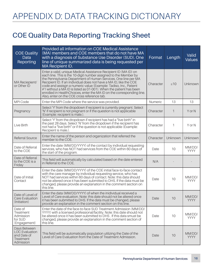### **COE Quality Data Reporting Tracking Sheet**

| <b>COE Quality</b><br>Data<br>Reporting                                        | Provided all information on COE Medical Assistance<br>(MA) members and COE members that do not have MA<br>with a diagnosis of Substance Use Disorder (SUD). One<br>line of unique summarized data is being requested per<br>MA Recipient ID.                                                                                                                                                                                                                                                                                                  | Format    | Length    | Valid<br><b>Values</b> |
|--------------------------------------------------------------------------------|-----------------------------------------------------------------------------------------------------------------------------------------------------------------------------------------------------------------------------------------------------------------------------------------------------------------------------------------------------------------------------------------------------------------------------------------------------------------------------------------------------------------------------------------------|-----------|-----------|------------------------|
| MA Reciepient/<br>or Other ID                                                  | Enter a valid, unique Medical Assistance Recipient ID (MA ID) on<br>each line. This is the 10-digit number assigned to the Member by<br>the Pennsylvania Department of Human Services. One line per MA<br>Recipient ID. If an individual does not have a MA ID, like the COE<br>code and assisgn a numeric value (Example: Tadiso, Inc., Patient<br>#1 without a MA ID is listed as 01-001). When the patient has been<br>enrolled in HealthChoices, enter the MAID on the corresponding line.<br>Also, enter on the COE cross reference tab. | Character | $\leq 10$ | Unknown                |
| MPI Code                                                                       | Enter the MPI Code where the service was provided.                                                                                                                                                                                                                                                                                                                                                                                                                                                                                            | Numeric   | 13        | 13                     |
| Pregnancy                                                                      | Select 'Y' from the dropdown if recipient is currently pregnant. Select<br>'N' if recipient is not pregnant or if the question is not applicable<br>(Example: recipient is male.).                                                                                                                                                                                                                                                                                                                                                            | Character | 1         | Y or N                 |
| Live Birth                                                                     | Select 'Y' from the dropdown if recipient has had a "live birth" in<br>the past 28 days. Select 'N' from the dropdown if the recipient has<br>not had a "live birth" or if the question is not applicable (Example:<br>Recipient is male.).                                                                                                                                                                                                                                                                                                   | Character | 1         | Y or N                 |
| Referral Source                                                                | Enter the name of the person and organization that referred the<br>member to the COE.                                                                                                                                                                                                                                                                                                                                                                                                                                                         | Character | Unknown   | Unknown                |
| Date of Referral<br>to the COE                                                 | Enter the date (MM/DD/YYYY) of the contact by individual requesting<br>services, who has NOT had services from the COE within 60 days of<br>the start of the program.                                                                                                                                                                                                                                                                                                                                                                         | Date      | 10        | MM/DD/<br><b>YYYY</b>  |
| Date of Referral<br>to the COE is a<br>Friday                                  | This field will automatically by calculated based on the date entered<br>in Referral to the COE.                                                                                                                                                                                                                                                                                                                                                                                                                                              | N/A       |           |                        |
| Date of Initial<br>Contact                                                     | Enter the date (MM/DD/YYYY) of the COE initial face-to-face contact<br>with the care manager by individual requesting service, who has<br>NOT had services within 60 days of contact. Note: this data should<br>not be altered once it has been submitted to DHS. If the data must be<br>changed, please provide an explanation in the comment section on<br>this line.                                                                                                                                                                       | Date      | 10        | MM/DD/<br>YYYY         |
| Date of Level of<br>Care Evaluation<br>(Initiation)                            | Enter the data (MM/DD/YYYY) of when the inidividual received a<br>Level of Care evaluation. Note: this date should not be altered once<br>it has been submitted to DHS. If the data must be changed, please<br>provide an explanation in the comment section on this line.                                                                                                                                                                                                                                                                    | Date      | 10        | MM/DD/<br>YYYY         |
| Date of<br>Treatment<br>Admission<br>for SUD<br>(Engagement)                   | Enter the date of the face-to-face SUD Treatment Admission (MM/DD/<br>YYYY) with a licensed professional/facility. Note: this date should not<br>be altered once it has been submitted to DHS. If this data smust be<br>changed, please provide an explanation in the comment section of<br>this line.                                                                                                                                                                                                                                        | Date      | 10        | MM/DD/<br><b>YYYY</b>  |
| Days Between<br><b>LOC</b> Evaluation<br>and Date of<br>Treatment<br>Admission | This field will be automatically population utilizing the Date of the<br>Level of Care Evaluation from the Date of Treatment Admission.                                                                                                                                                                                                                                                                                                                                                                                                       | Date      | 10        | MM/DD/<br><b>YYYY</b>  |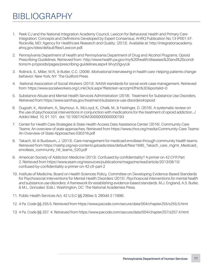## BIBLIOGRAPHY

- 1. Peek CJ and the National Integration Academy Council. Lexicon for Behavioral Health and Primary Care Integration: Concepts and Definitions Developed by Expert Consensus. AHRQ Publication No.13-IP001-EF. Rockville, MD: Agency for Healthcare Research and Quality. (2013). Available at: http://integrationacademy. ahrq.gov/sites/default/files/Lexicon.pdf.
- 2. Pennsylvania Department of Health and Pennsylvania Department of Drug and Alcohol Programs. Opioid Prescribing Guidelines. Retrieved from:: http://www.health.pa.gov/my%20health/diseases%20and%20conditions/m-p/opioids/pages/prescribing-guidelines.aspx#.Wvyt2IgvyUk
- 3. Rollnick, S., Miller, W.R., & Butler, C.C. (2008). *Motivational Interviewing in health care: Helping patients change behavior.* New York, NY: The Guilford Press.
- 4. National Association of Social Workers (2013). NASW standards for social work case management. Retrieved from: https://www.socialworkers.org/LinkClick.aspx?fileticket=acrzqmEfhlo%3D&portalid=0
- 5. Substance Abuse and Mental Health Services Administration (2018). Treatment for Substance Use Disorders. Retrieved from https://www.samhsa.gov/treatment/substance-use-disorders#opioid
- 6. Dugosh, K., Abraham, A., Seymour, A., McLoyd, K., Chalk, M., & Festinger, D. (2016). A systematic review on the use of psychosocial interventions in conjunction with medications for the treatment of opioid addiction. *J Addict Med*, 10, 91-101. doi: 10.1097/ADM.0000000000000193
- 7. Center for Health Care Strategies & State Health Access Data Assistance Center (2016). Community Care Teams: An overview of state approaches. Retrieved from https://www.chcs.org/media/Community-Care-Teams-An-Overview-of-State-Approaches-030316.pdf
- 8. Takach, M. & Buxbaum, J. (2013). Care management for medicaid enrollees through community health teams. Retrieved from https://nashp.org/wp-content/uploads/sites/default/files/1690\_Takach\_care\_mgmt\_Medicaid enrollees\_community\_hlt\_teams\_520.pdf
- 9. American Society of Addiction Medicine (2013). Confused by confidentiality? A primer on 42 CFR Part 2. Retrieved from https://www.asam.org/resources/publications/magazine/read/article/2013/08/15/ confused-by-confidentiality-a-primer-on-42-cfr-part-2
- 10. Institute of Medicine, Board on Health Sciences Policy, Committee on Developing Evidence-Based Standards for Psychosocial Interventions for Mental Health Disorders (2015). *Psychosocial interventions for mental health and substance use disorders: A framework for establishing evidence-based standards.* M.J. England, A.S. Butler, & M.L. Gonzalez (Eds.). Washington, DC: The National Academies Press.
- 11. Public Health Services Act, 42 U.S.C §§ 290ee-3, 290dd-2 (1998).
- 12. 4 Pa. Code §§ 255.5. Retrieved from https://www.pacode.com/secure/data/004/chapter255/s255.5.html
- 13. 4 Pa. Code §§ 257. 4. Retrieved from https://www.pacode.com/secure/data/004/chapter257/s257.4.html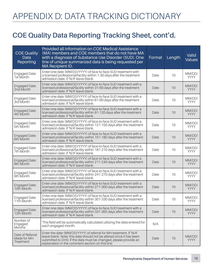### **COE Quality Data Reporting Tracking Sheet, cont'd.**

| <b>COE Quality</b><br>Data<br>Reporting      | Provided all information on COE Medical Assistance<br>(MA) members and COE members that do not have MA<br>with a diagnosis of Substance Use Disorder (SUD). One<br>line of unique summarized data is being requested per<br>MA Recipient ID.                      | Format | Length | Valid<br><b>Values</b> |
|----------------------------------------------|-------------------------------------------------------------------------------------------------------------------------------------------------------------------------------------------------------------------------------------------------------------------|--------|--------|------------------------|
| Engaged Date:<br>1st Month                   | Enter one date (MM/DD/YYYY) of face-to-face SUD treatment with<br>a licensed professional/facility within 1-30 days after the treatment<br>admission date. If 'N/A' leave blank.                                                                                  | Date   | 10     | MM/DD/<br><b>YYYY</b>  |
| Engaged Date:<br>2nd Month                   | Enter one date (MM/DD/YYYY) of face-to-face SUD treatment with a<br>licensed professional/facility within 31-60 days after the treatment<br>admission date. If 'N/A' leave blank.                                                                                 | Date   | 10     | MM/DD/<br><b>YYYY</b>  |
| Engaged Date:<br>3rd Month                   | Enter one date (MM/DD/YYYY) of face-to-face SUD treatment with a<br>licensed professional/facility within 61-90 days after the treatment<br>admission date. If 'N/A' leave blank.                                                                                 | Date   | 10     | MM/DD/<br><b>YYYY</b>  |
| Engaged Date:<br>4th Month                   | Enter one date (MM/DD/YYYY) of face-to-face SUD treatment with a<br>licensed professional/facility within 91-120 days after the treatment<br>admission date. If 'N/A' leave blank.                                                                                | Date   | 10     | MM/DD/<br><b>YYYY</b>  |
| Engaged Date:<br>5th Month                   | Enter one date (MM/DD/YYYY) of face-to-face SUD treatment with a<br>licensed professional/facility within 121-150 days after the treatment<br>admission date. If 'N/A' leave blank.                                                                               | Date   | 10     | MM/DD/<br><b>YYYY</b>  |
| Engaged Date:<br>6th Month                   | Enter one date (MM/DD/YYYY) of face-to-face SUD treatment with a<br>licensed professional/facility within 151-180 days after the treatment<br>admission date. If 'N/A' leave blank.                                                                               | Date   | 10     | MM/DD/<br><b>YYYY</b>  |
| Engaged Date:<br>7th Month                   | Enter one date (MM/DD/YYYY) of face-to-face SUD treatment with a<br>licensed professional/facility within 181-210 days after the treatment<br>admission date. If 'N/A' leave blank.                                                                               | Date   | 10     | MM/DD/<br><b>YYYY</b>  |
| Engaged Date:<br>8th Month                   | Enter one date (MM/DD/YYYY) of face-to-face SUD treatment with a<br>licensed professional/facility within 211-240 days after the treatment<br>admission date. If 'N/A' leave blank.                                                                               | Date   | 10     | MM/DD/<br><b>YYYY</b>  |
| Engaged Date:<br>9th Month                   | Enter one date (MM/DD/YYYY) of face-to-face SUD treatment with a<br>licensed professional/facility within 241-270 days after the treatment<br>admission date. If 'N/A' leave blank.                                                                               | Date   | 10     | MM/DD/<br><b>YYYY</b>  |
| Engaged Date:<br>10th Month                  | Enter one date (MM/DD/YYYY) of face-to-face SUD treatment with a<br>licensed professional/facility within 271-300 days after the treatment<br>admission date. If 'N/A' leave blank.                                                                               | Date   | 10     | MM/DD/<br><b>YYYY</b>  |
| Engaged Date:<br>11th Month                  | Enter one date (MM/DD/YYYY) of face-to-face SUD treatment with a<br>licensed professional/facility within 301-330 days after the treatment<br>admission date. If 'N/A' leave blank.                                                                               | Date   | 10     | MM/DD/<br>YYYY         |
| Engaged Date:<br>12th Month                  | Enter one date (MM/DD/YYYY) of face-to-face SUD treatment with a<br>licensed professional/facility within 331-365 days after the treatment<br>admission date. If 'N/A' leave blank.                                                                               | Date   | 10     | MM/DD/<br><b>YYYY</b>  |
| Number of<br>Engaged<br><b>Months</b>        | This field will be automatically calculated utilizing the data entered for<br>each engaged month.                                                                                                                                                                 | N/A    |        |                        |
| Date of Referral<br>Made for MH<br>Treatment | Enter the date (MM/DD/YYYY) of referral for MH treatment. If 'N/A'<br>leave blank. Note: this date should not be altered once it has been<br>submitted to DHS. If the data must be changed, please provide an<br>explanation in the comment section on this line. | Date   | 10     | MM/DD/<br><b>YYYY</b>  |